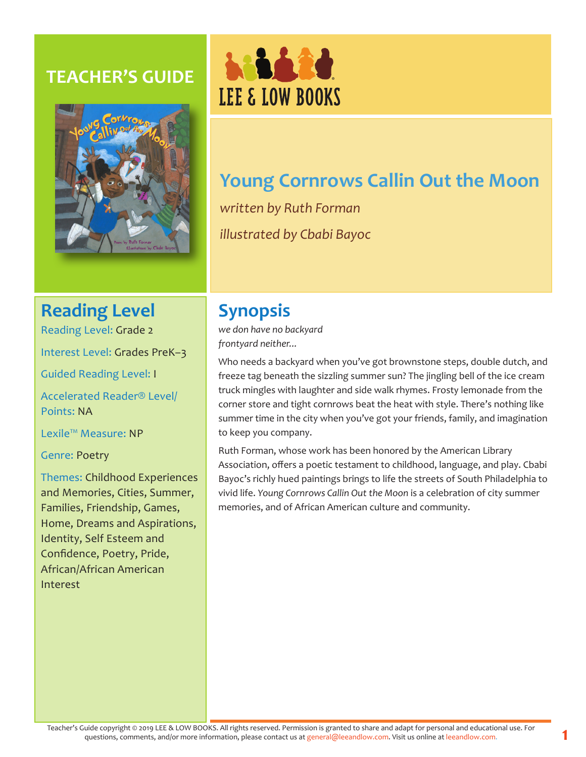## **TEACHER'S GUIDE**





# **Young Cornrows Callin Out the Moon**

*written by Ruth Forman illustrated by Cbabi Bayoc*

## **Reading Level**

Reading Level: Grade 2

Interest Level: Grades PreK–3

Guided Reading Level: I

Accelerated Reader® Level/ Points: NA

Lexile™ Measure: NP

Genre: Poetry

Themes: Childhood Experiences and Memories, Cities, Summer, Families, Friendship, Games, Home, Dreams and Aspirations, Identity, Self Esteem and Confidence, Poetry, Pride, African/African American Interest

# **Synopsis**

*we don have no backyard frontyard neither...*

Who needs a backyard when you've got brownstone steps, double dutch, and freeze tag beneath the sizzling summer sun? The jingling bell of the ice cream truck mingles with laughter and side walk rhymes. Frosty lemonade from the corner store and tight cornrows beat the heat with style. There's nothing like summer time in the city when you've got your friends, family, and imagination to keep you company.

Ruth Forman, whose work has been honored by the American Library Association, offers a poetic testament to childhood, language, and play. Cbabi Bayoc's richly hued paintings brings to life the streets of South Philadelphia to vivid life. *Young Cornrows Callin Out the Moon* is a celebration of city summer memories, and of African American culture and community.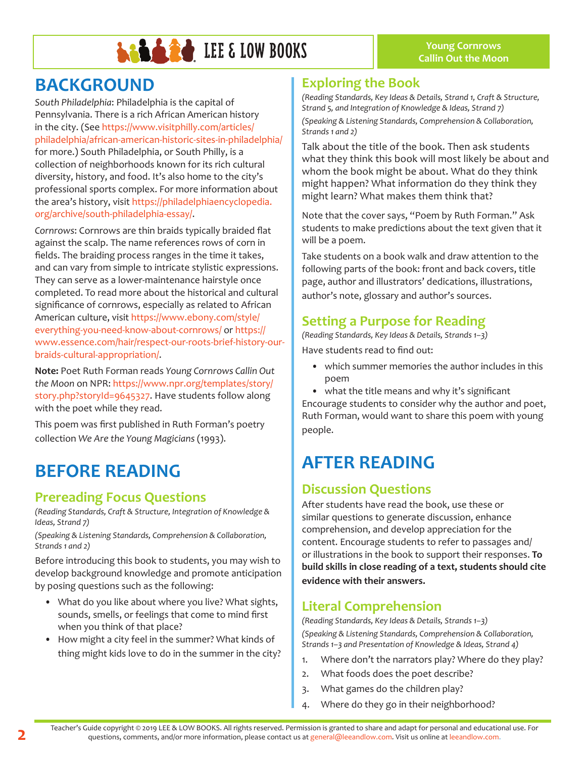

## **BACKGROUND**

*South Philadelphia*: Philadelphia is the capital of Pennsylvania. There is a rich African American history in the city. (See https://www.visitphilly.com/articles/ philadelphia/african-american-historic-sites-in-philadelphia/ for more.) South Philadelphia, or South Philly, is a collection of neighborhoods known for its rich cultural diversity, history, and food. It's also home to the city's professional sports complex. For more information about the area's history, visit https://philadelphiaencyclopedia. org/archive/south-philadelphia-essay/.

*Cornrows*: Cornrows are thin braids typically braided flat against the scalp. The name references rows of corn in fields. The braiding process ranges in the time it takes, and can vary from simple to intricate stylistic expressions. They can serve as a lower-maintenance hairstyle once completed. To read more about the historical and cultural significance of cornrows, especially as related to African American culture, visit https://www.ebony.com/style/ everything-you-need-know-about-cornrows/ or https:// www.essence.com/hair/respect-our-roots-brief-history-ourbraids-cultural-appropriation/.

**Note:** Poet Ruth Forman reads *Young Cornrows Callin Out the Moon* on NPR: https://www.npr.org/templates/story/ story.php?storyId=9645327. Have students follow along with the poet while they read.

This poem was first published in Ruth Forman's poetry collection *We Are the Young Magicians* (1993).

## **BEFORE READING**

#### **Prereading Focus Questions**

*(Reading Standards, Craft & Structure, Integration of Knowledge & Ideas, Strand 7)*

*(Speaking & Listening Standards, Comprehension & Collaboration, Strands 1 and 2)*

Before introducing this book to students, you may wish to develop background knowledge and promote anticipation by posing questions such as the following:

- What do you like about where you live? What sights, sounds, smells, or feelings that come to mind first when you think of that place?
- How might a city feel in the summer? What kinds of thing might kids love to do in the summer in the city?

#### **Exploring the Book**

*(Reading Standards, Key Ideas & Details, Strand 1, Craft & Structure, Strand 5, and Integration of Knowledge & Ideas, Strand 7)*

*(Speaking & Listening Standards, Comprehension & Collaboration, Strands 1 and 2)*

Talk about the title of the book. Then ask students what they think this book will most likely be about and whom the book might be about. What do they think might happen? What information do they think they might learn? What makes them think that?

Note that the cover says, "Poem by Ruth Forman." Ask students to make predictions about the text given that it will be a poem.

Take students on a book walk and draw attention to the following parts of the book: front and back covers, title page, author and illustrators' dedications, illustrations, author's note, glossary and author's sources.

#### **Setting a Purpose for Reading**

*(Reading Standards, Key Ideas & Details, Strands 1–3)* Have students read to find out:

- which summer memories the author includes in this poem
- what the title means and why it's significant

Encourage students to consider why the author and poet, Ruth Forman, would want to share this poem with young people.

## **AFTER READING**

### **Discussion Questions**

After students have read the book, use these or similar questions to generate discussion, enhance comprehension, and develop appreciation for the content. Encourage students to refer to passages and/ or illustrations in the book to support their responses. **To build skills in close reading of a text, students should cite evidence with their answers.**

#### **Literal Comprehension**

*(Reading Standards, Key Ideas & Details, Strands 1–3) (Speaking & Listening Standards, Comprehension & Collaboration, Strands 1–3 and Presentation of Knowledge & Ideas, Strand 4)*

- 1. Where don't the narrators play? Where do they play?
- 2. What foods does the poet describe?
- 3. What games do the children play?
- Where do they go in their neighborhood?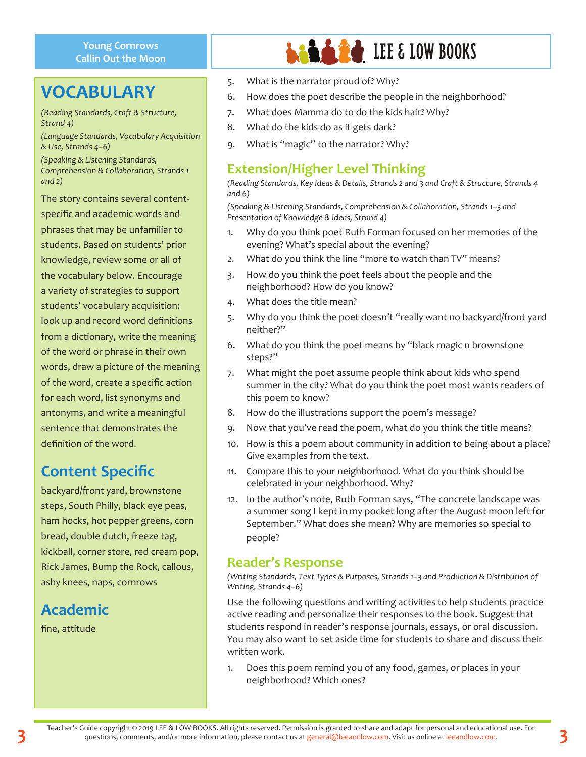#### **Young Cornrows Callin Out the Moon**

## **VOCABULARY**

*(Reading Standards, Craft & Structure, Strand 4)*

*(Language Standards, Vocabulary Acquisition & Use, Strands 4–6)*

*(Speaking & Listening Standards, Comprehension & Collaboration, Strands 1 and 2)*

The story contains several contentspecific and academic words and phrases that may be unfamiliar to students. Based on students' prior knowledge, review some or all of the vocabulary below. Encourage a variety of strategies to support students' vocabulary acquisition: look up and record word definitions from a dictionary, write the meaning of the word or phrase in their own words, draw a picture of the meaning of the word, create a specific action for each word, list synonyms and antonyms, and write a meaningful sentence that demonstrates the definition of the word.

## **Content Specific**

backyard/front yard, brownstone steps, South Philly, black eye peas, ham hocks, hot pepper greens, corn bread, double dutch, freeze tag, kickball, corner store, red cream pop, Rick James, Bump the Rock, callous, ashy knees, naps, cornrows

## **Academic**

fine, attitude

# **LEE & LOW BOOKS**

- 5. What is the narrator proud of? Why?
- 6. How does the poet describe the people in the neighborhood?
- 7. What does Mamma do to do the kids hair? Why?
- 8. What do the kids do as it gets dark?
- 9. What is "magic" to the narrator? Why?

#### **Extension/Higher Level Thinking**

*(Reading Standards, Key Ideas & Details, Strands 2 and 3 and Craft & Structure, Strands 4 and 6)*

*(Speaking & Listening Standards, Comprehension & Collaboration, Strands 1–3 and Presentation of Knowledge & Ideas, Strand 4)*

- 1. Why do you think poet Ruth Forman focused on her memories of the evening? What's special about the evening?
- 2. What do you think the line "more to watch than TV" means?
- 3. How do you think the poet feels about the people and the neighborhood? How do you know?
- 4. What does the title mean?
- 5. Why do you think the poet doesn't "really want no backyard/front yard neither?"
- 6. What do you think the poet means by "black magic n brownstone steps?"
- 7. What might the poet assume people think about kids who spend summer in the city? What do you think the poet most wants readers of this poem to know?
- 8. How do the illustrations support the poem's message?
- 9. Now that you've read the poem, what do you think the title means?
- 10. How is this a poem about community in addition to being about a place? Give examples from the text.
- 11. Compare this to your neighborhood. What do you think should be celebrated in your neighborhood. Why?
- 12. In the author's note, Ruth Forman says, "The concrete landscape was a summer song I kept in my pocket long after the August moon left for September." What does she mean? Why are memories so special to people?

#### **Reader's Response**

*(Writing Standards, Text Types & Purposes, Strands 1–3 and Production & Distribution of Writing, Strands 4–6)* 

Use the following questions and writing activities to help students practice active reading and personalize their responses to the book. Suggest that students respond in reader's response journals, essays, or oral discussion. You may also want to set aside time for students to share and discuss their written work.

1. Does this poem remind you of any food, games, or places in your neighborhood? Which ones?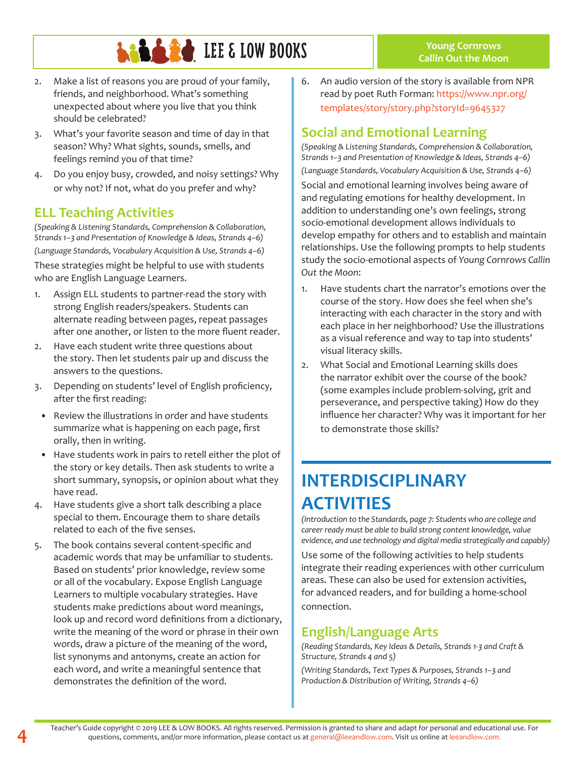# **LALARE LEE & LOW BOOKS**

- 2. Make a list of reasons you are proud of your family, friends, and neighborhood. What's something unexpected about where you live that you think should be celebrated?
- 3. What's your favorite season and time of day in that season? Why? What sights, sounds, smells, and feelings remind you of that time?
- 4. Do you enjoy busy, crowded, and noisy settings? Why or why not? If not, what do you prefer and why?

### **ELL Teaching Activities**

*(Speaking & Listening Standards, Comprehension & Collaboration, Strands 1–3 and Presentation of Knowledge & Ideas, Strands 4–6) (Language Standards, Vocabulary Acquisition & Use, Strands 4–6)* These strategies might be helpful to use with students who are English Language Learners.

- 1. Assign ELL students to partner-read the story with strong English readers/speakers. Students can alternate reading between pages, repeat passages after one another, or listen to the more fluent reader.
- 2. Have each student write three questions about the story. Then let students pair up and discuss the answers to the questions.
- 3. Depending on students' level of English proficiency, after the first reading:
- Review the illustrations in order and have students summarize what is happening on each page, first orally, then in writing.
- Have students work in pairs to retell either the plot of the story or key details. Then ask students to write a short summary, synopsis, or opinion about what they have read.
- 4. Have students give a short talk describing a place special to them. Encourage them to share details related to each of the five senses.
- 5. The book contains several content-specific and academic words that may be unfamiliar to students. Based on students' prior knowledge, review some or all of the vocabulary. Expose English Language Learners to multiple vocabulary strategies. Have students make predictions about word meanings, look up and record word definitions from a dictionary, write the meaning of the word or phrase in their own words, draw a picture of the meaning of the word, list synonyms and antonyms, create an action for each word, and write a meaningful sentence that demonstrates the definition of the word.

6. An audio version of the story is available from NPR read by poet Ruth Forman: https://www.npr.org/ templates/story/story.php?storyId=9645327

**Young Cornrows Callin Out the Moon**

#### **Social and Emotional Learning**

*(Speaking & Listening Standards, Comprehension & Collaboration, Strands 1–3 and Presentation of Knowledge & Ideas, Strands 4–6) (Language Standards, Vocabulary Acquisition & Use, Strands 4–6)*  Social and emotional learning involves being aware of and regulating emotions for healthy development. In addition to understanding one's own feelings, strong socio-emotional development allows individuals to develop empathy for others and to establish and maintain relationships. Use the following prompts to help students study the socio-emotional aspects of *Young Cornrows Callin Out the Moon*:

- 1. Have students chart the narrator's emotions over the course of the story. How does she feel when she's interacting with each character in the story and with each place in her neighborhood? Use the illustrations as a visual reference and way to tap into students' visual literacy skills.
- 2. What Social and Emotional Learning skills does the narrator exhibit over the course of the book? (some examples include problem-solving, grit and perseverance, and perspective taking) How do they influence her character? Why was it important for her to demonstrate those skills?

## **INTERDISCIPLINARY ACTIVITIES**

*(Introduction to the Standards, page 7: Students who are college and career ready must be able to build strong content knowledge, value evidence, and use technology and digital media strategically and capably)*

Use some of the following activities to help students integrate their reading experiences with other curriculum areas. These can also be used for extension activities, for advanced readers, and for building a home-school connection.

#### **English/Language Arts**

*(Reading Standards, Key Ideas & Details, Strands 1-3 and Craft & Structure, Strands 4 and 5)*

*(Writing Standards, Text Types & Purposes, Strands 1–3 and Production & Distribution of Writing, Strands 4–6)*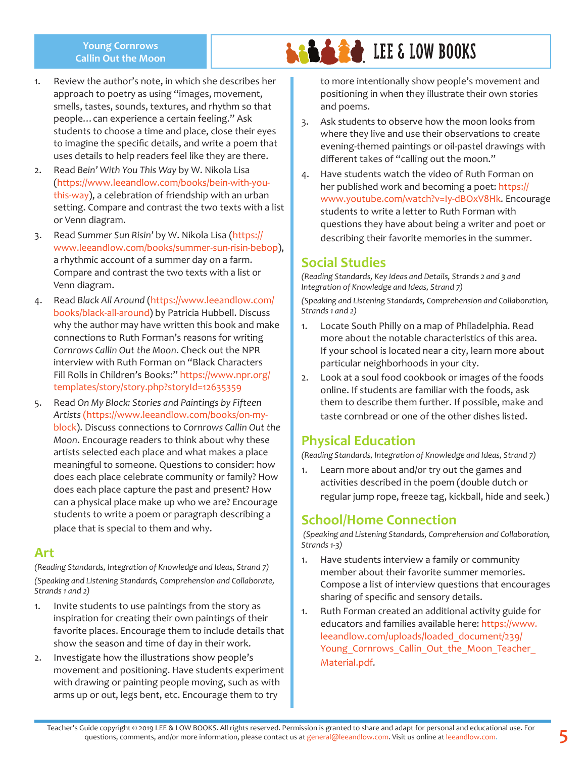#### **Young Cornrows Callin Out the Moon**

- 1. Review the author's note, in which she describes her approach to poetry as using "images, movement, smells, tastes, sounds, textures, and rhythm so that people…can experience a certain feeling." Ask students to choose a time and place, close their eyes to imagine the specific details, and write a poem that uses details to help readers feel like they are there.
- 2. Read *Bein' With You This Way* by W. Nikola Lisa (https://www.leeandlow.com/books/bein-with-youthis-way), a celebration of friendship with an urban setting. Compare and contrast the two texts with a list or Venn diagram.
- 3. Read *Summer Sun Risin'* by W. Nikola Lisa (https:// www.leeandlow.com/books/summer-sun-risin-bebop), a rhythmic account of a summer day on a farm. Compare and contrast the two texts with a list or Venn diagram.
- 4. Read *Black All Around* (https://www.leeandlow.com/ books/black-all-around) by Patricia Hubbell. Discuss why the author may have written this book and make connections to Ruth Forman's reasons for writing *Cornrows Callin Out the Moon*. Check out the NPR interview with Ruth Forman on "Black Characters Fill Rolls in Children's Books:" https://www.npr.org/ templates/story/story.php?storyId=12635359
- 5. Read *On My Block: Stories and Paintings by Fifteen Artists* (https://www.leeandlow.com/books/on-myblock). Discuss connections to *Cornrows Callin Out the Moon*. Encourage readers to think about why these artists selected each place and what makes a place meaningful to someone. Questions to consider: how does each place celebrate community or family? How does each place capture the past and present? How can a physical place make up who we are? Encourage students to write a poem or paragraph describing a place that is special to them and why.

#### **Art**

*(Reading Standards, Integration of Knowledge and Ideas, Strand 7) (Speaking and Listening Standards, Comprehension and Collaborate, Strands 1 and 2)*

- 1. Invite students to use paintings from the story as inspiration for creating their own paintings of their favorite places. Encourage them to include details that show the season and time of day in their work.
- 2. Investigate how the illustrations show people's movement and positioning. Have students experiment with drawing or painting people moving, such as with arms up or out, legs bent, etc. Encourage them to try

to more intentionally show people's movement and positioning in when they illustrate their own stories and poems.

**LALES LOW BOOKS** 

- 3. Ask students to observe how the moon looks from where they live and use their observations to create evening-themed paintings or oil-pastel drawings with different takes of "calling out the moon."
- 4. Have students watch the video of Ruth Forman on her published work and becoming a poet: https:// www.youtube.com/watch?v=Iy-dBOxV8Hk. Encourage students to write a letter to Ruth Forman with questions they have about being a writer and poet or describing their favorite memories in the summer.

#### **Social Studies**

*(Reading Standards, Key Ideas and Details, Strands 2 and 3 and Integration of Knowledge and Ideas, Strand 7) (Speaking and Listening Standards, Comprehension and Collaboration, Strands 1 and 2)*

- 1. Locate South Philly on a map of Philadelphia. Read more about the notable characteristics of this area. If your school is located near a city, learn more about particular neighborhoods in your city.
- 2. Look at a soul food cookbook or images of the foods online. If students are familiar with the foods, ask them to describe them further. If possible, make and taste cornbread or one of the other dishes listed.

#### **Physical Education**

*(Reading Standards, Integration of Knowledge and Ideas, Strand 7)*

1. Learn more about and/or try out the games and activities described in the poem (double dutch or regular jump rope, freeze tag, kickball, hide and seek.)

### **School/Home Connection**

 *(Speaking and Listening Standards, Comprehension and Collaboration, Strands 1-3)*

- 1. Have students interview a family or community member about their favorite summer memories. Compose a list of interview questions that encourages sharing of specific and sensory details.
- 1. Ruth Forman created an additional activity guide for educators and families available here: https://www. leeandlow.com/uploads/loaded\_document/239/ Young Cornrows Callin Out the Moon Teacher Material.pdf.